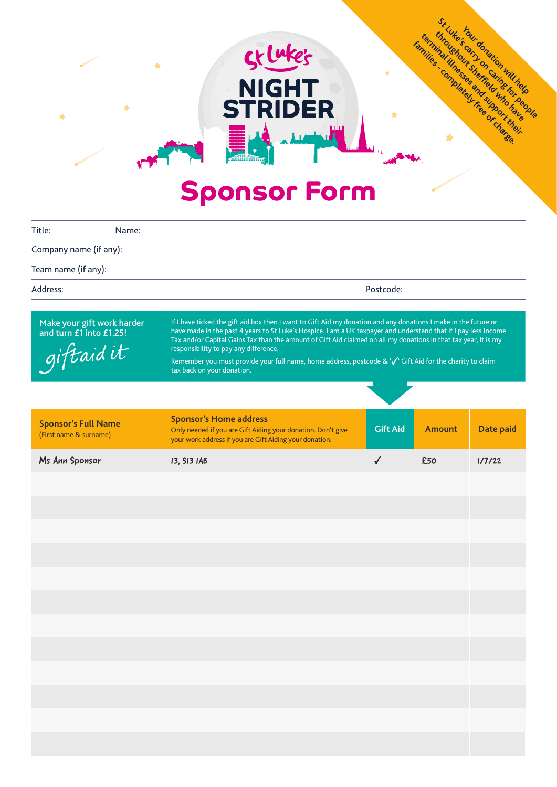## **Sponsor Form**

skluke's

**NIGHT<br>STRIDER** 

 $\Delta L$ 

 $\bigstar$ 

 $\blacklozenge$ 

 $\bigstar$ 

**Your donation will help**<br>Strain will help and the series of the series of the series of the series of the series of the series of the series of the series of the series of the series of the series of the series of the ser **St Luke sour donation who have been for people for people for people and for people** 

**terminal illnesser and supportances Families - completely free of charge.** 

| Title:<br>Name:                                                    |                                                                                                                                                                                                                                                                                                                                                                                                                                                                                                                                          |                 |               |           |  |
|--------------------------------------------------------------------|------------------------------------------------------------------------------------------------------------------------------------------------------------------------------------------------------------------------------------------------------------------------------------------------------------------------------------------------------------------------------------------------------------------------------------------------------------------------------------------------------------------------------------------|-----------------|---------------|-----------|--|
| Company name (if any):                                             |                                                                                                                                                                                                                                                                                                                                                                                                                                                                                                                                          |                 |               |           |  |
| Team name (if any):                                                |                                                                                                                                                                                                                                                                                                                                                                                                                                                                                                                                          |                 |               |           |  |
| Address:                                                           | Postcode:                                                                                                                                                                                                                                                                                                                                                                                                                                                                                                                                |                 |               |           |  |
|                                                                    |                                                                                                                                                                                                                                                                                                                                                                                                                                                                                                                                          |                 |               |           |  |
| Make your gift work harder<br>and turn £1 into £1.25!<br>giftaidit | If I have ticked the gift aid box then I want to Gift Aid my donation and any donations I make in the future or<br>have made in the past 4 years to St Luke's Hospice. I am a UK taxpayer and understand that if I pay less Income<br>Tax and/or Capital Gains Tax than the amount of Gift Aid claimed on all my donations in that tax year, it is my<br>responsibility to pay any difference.<br>Remember you must provide your full name, home address, postcode & '√' Gift Aid for the charity to claim<br>tax back on your donation. |                 |               |           |  |
|                                                                    |                                                                                                                                                                                                                                                                                                                                                                                                                                                                                                                                          |                 |               |           |  |
| <b>Sponsor's Full Name</b><br>(First name & surname)               | <b>Sponsor's Home address</b><br>Only needed if you are Gift Aiding your donation. Don't give<br>your work address if you are Gift Aiding your donation.                                                                                                                                                                                                                                                                                                                                                                                 | <b>Gift Aid</b> | <b>Amount</b> | Date paid |  |
| Ms Ann Sponsor                                                     | 13, SI3 IAB                                                                                                                                                                                                                                                                                                                                                                                                                                                                                                                              | $\checkmark$    | £50           | 1/7/22    |  |
|                                                                    |                                                                                                                                                                                                                                                                                                                                                                                                                                                                                                                                          |                 |               |           |  |
|                                                                    |                                                                                                                                                                                                                                                                                                                                                                                                                                                                                                                                          |                 |               |           |  |
|                                                                    |                                                                                                                                                                                                                                                                                                                                                                                                                                                                                                                                          |                 |               |           |  |
|                                                                    |                                                                                                                                                                                                                                                                                                                                                                                                                                                                                                                                          |                 |               |           |  |
|                                                                    |                                                                                                                                                                                                                                                                                                                                                                                                                                                                                                                                          |                 |               |           |  |
|                                                                    |                                                                                                                                                                                                                                                                                                                                                                                                                                                                                                                                          |                 |               |           |  |
|                                                                    |                                                                                                                                                                                                                                                                                                                                                                                                                                                                                                                                          |                 |               |           |  |
|                                                                    |                                                                                                                                                                                                                                                                                                                                                                                                                                                                                                                                          |                 |               |           |  |
|                                                                    |                                                                                                                                                                                                                                                                                                                                                                                                                                                                                                                                          |                 |               |           |  |
|                                                                    |                                                                                                                                                                                                                                                                                                                                                                                                                                                                                                                                          |                 |               |           |  |
|                                                                    |                                                                                                                                                                                                                                                                                                                                                                                                                                                                                                                                          |                 |               |           |  |
|                                                                    |                                                                                                                                                                                                                                                                                                                                                                                                                                                                                                                                          |                 |               |           |  |
|                                                                    |                                                                                                                                                                                                                                                                                                                                                                                                                                                                                                                                          |                 |               |           |  |